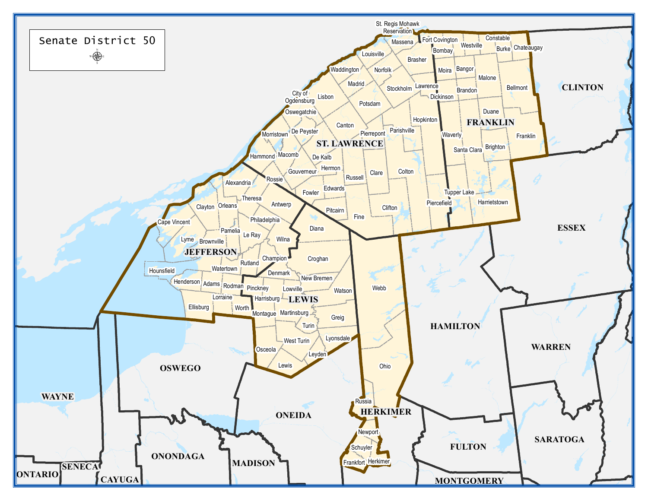